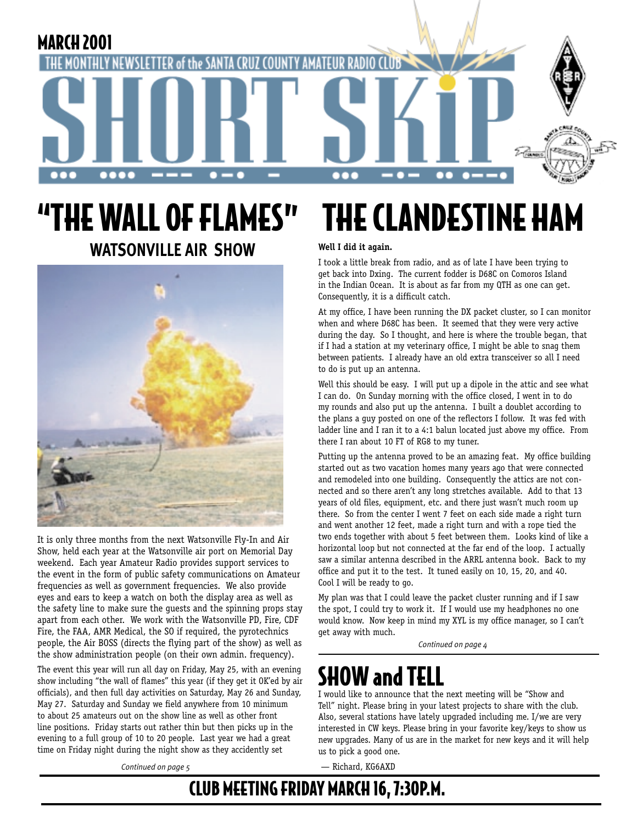

# "THE WALL OF FLAMES" **WATSONVILLE AIR SHOW**



It is only three months from the next Watsonville Fly-In and Air Show, held each year at the Watsonville air port on Memorial Day weekend. Each year Amateur Radio provides support services to the event in the form of public safety communications on Amateur frequencies as well as government frequencies. We also provide eyes and ears to keep a watch on both the display area as well as the safety line to make sure the guests and the spinning props stay apart from each other. We work with the Watsonville PD, Fire, CDF Fire, the FAA, AMR Medical, the SO if required, the pyrotechnics people, the Air BOSS (directs the flying part of the show) as well as the show administration people (on their own admin. frequency).

The event this year will run all day on Friday, May 25, with an evening show including "the wall of flames" this year (if they get it OK'ed by air officials), and then full day activities on Saturday, May 26 and Sunday, May 27. Saturday and Sunday we field anywhere from 10 minimum to about 25 amateurs out on the show line as well as other front line positions. Friday starts out rather thin but then picks up in the evening to a full group of 10 to 20 people. Last year we had a great time on Friday night during the night show as they accidently set

### *Continued on page 5*

# THE CLANDESTINE HAM

### **Well I did it again.**

I took a little break from radio, and as of late I have been trying to get back into Dxing. The current fodder is D68C on Comoros Island in the Indian Ocean. It is about as far from my QTH as one can get. Consequently, it is a difficult catch.

At my office, I have been running the DX packet cluster, so I can monitor when and where D68C has been. It seemed that they were very active during the day. So I thought, and here is where the trouble began, that if I had a station at my veterinary office, I might be able to snag them between patients. I already have an old extra transceiver so all I need to do is put up an antenna.

Well this should be easy. I will put up a dipole in the attic and see what I can do. On Sunday morning with the office closed, I went in to do my rounds and also put up the antenna. I built a doublet according to the plans a guy posted on one of the reflectors I follow. It was fed with ladder line and I ran it to a 4:1 balun located just above my office. From there I ran about 10 FT of RG8 to my tuner.

Putting up the antenna proved to be an amazing feat. My office building started out as two vacation homes many years ago that were connected and remodeled into one building. Consequently the attics are not connected and so there aren't any long stretches available. Add to that 13 years of old files, equipment, etc. and there just wasn't much room up there. So from the center I went 7 feet on each side made a right turn and went another 12 feet, made a right turn and with a rope tied the two ends together with about 5 feet between them. Looks kind of like a horizontal loop but not connected at the far end of the loop. I actually saw a similar antenna described in the ARRL antenna book. Back to my office and put it to the test. It tuned easily on 10, 15, 20, and 40. Cool I will be ready to go.

My plan was that I could leave the packet cluster running and if I saw the spot, I could try to work it. If I would use my headphones no one would know. Now keep in mind my XYL is my office manager, so I can't get away with much.

*Continued on page 4*

# SHOW and TELL

I would like to announce that the next meeting will be "Show and Tell" night. Please bring in your latest projects to share with the club. Also, several stations have lately upgraded including me. I/we are very interested in CW keys. Please bring in your favorite key/keys to show us new upgrades. Many of us are in the market for new keys and it will help us to pick a good one.

— Richard, KG6AXD

## CLUB MEETING FRIDAY MARCH 16, 7:30P.M.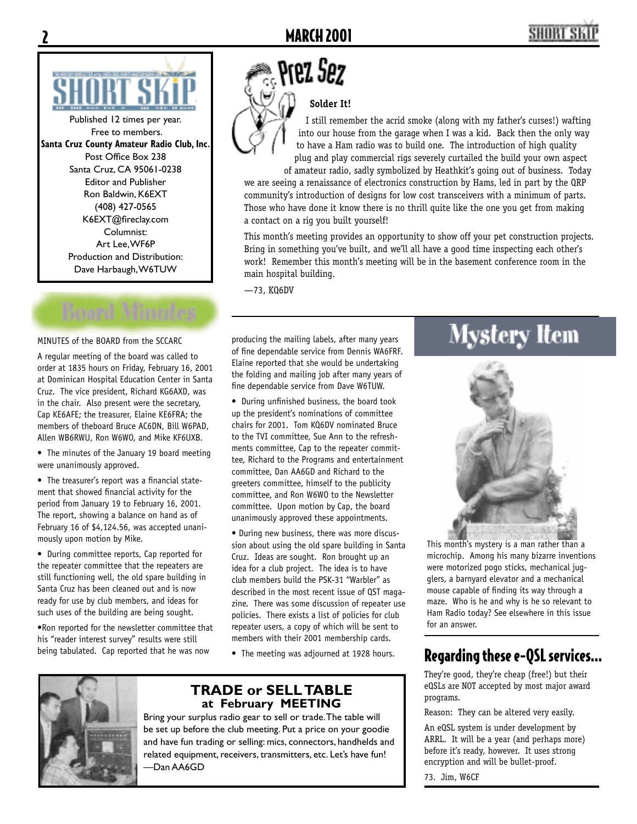

Published 12 times per year. Free to members. **Santa Cruz County Amateur Radio Club, Inc.** Post Office Box 238 Santa Cruz, CA 95061-0238 Editor and Publisher Ron Baldwin, K6EXT (408) 427-0565 K6EXT@fireclay.com Columnist: Art Lee, WF6P Production and Distribution: Dave Harbaugh, W6TUW

### MINUTES of the BOARD from the SCCARC

A regular meeting of the board was called to order at 1835 hours on Friday, February 16, 2001 at Dominican Hospital Education Center in Santa Cruz. The vice president, Richard KG6AXD, was in the chair. Also present were the secretary, Cap KE6AFE; the treasurer, Elaine KE6FRA; the members of theboard Bruce AC6DN, Bill W6PAD, Allen WB6RWU, Ron W6WO, and Mike KF6UXB.

• The minutes of the January 19 board meeting were unanimously approved.

• The treasurer's report was a financial statement that showed financial activity for the period from January 19 to February 16, 2001. The report, showing a balance on hand as of February 16 of \$4,124.56, was accepted unanimously upon motion by Mike.

• During committee reports, Cap reported for the repeater committee that the repeaters are still functioning well, the old spare building in Santa Cruz has been cleaned out and is now ready for use by club members, and ideas for such uses of the building are being sought.

•Ron reported for the newsletter committee that his "reader interest survey" results were still being tabulated. Cap reported that he was now

# Rez Sez

**Solder It!** 

I still remember the acrid smoke (along with my father's curses!) wafting into our house from the garage when I was a kid. Back then the only way to have a Ham radio was to build one. The introduction of high quality plug and play commercial rigs severely curtailed the build your own aspect of amateur radio, sadly symbolized by Heathkit's going out of business. Today

we are seeing a renaissance of electronics construction by Hams, led in part by the QRP community's introduction of designs for low cost transceivers with a minimum of parts. Those who have done it know there is no thrill quite like the one you get from making a contact on a rig you built yourself!

This month's meeting provides an opportunity to show off your pet construction projects. Bring in something you've built, and we'll all have a good time inspecting each other's work! Remember this month's meeting will be in the basement conference room in the main hospital building.

—73, KQ6DV

producing the mailing labels, after many years of fine dependable service from Dennis WA6FRF. Elaine reported that she would be undertaking the folding and mailing job after many years of fine dependable service from Dave W6TUW.

• During unfinished business, the board took up the president's nominations of committee chairs for 2001. Tom KQ6DV nominated Bruce to the TVI committee, Sue Ann to the refreshments committee, Cap to the repeater committee, Richard to the Programs and entertainment committee, Dan AA6GD and Richard to the greeters committee, himself to the publicity committee, and Ron W6WO to the Newsletter committee. Upon motion by Cap, the board unanimously approved these appointments.

• During new business, there was more discussion about using the old spare building in Santa Cruz. Ideas are sought. Ron brought up an idea for a club project. The idea is to have club members build the PSK-31 "Warbler" as described in the most recent issue of QST magazine. There was some discussion of repeater use policies. There exists a list of policies for club repeater users, a copy of which will be sent to members with their 2001 membership cards.

• The meeting was adjourned at 1928 hours.



### **TRADE or SELL TABLE at February MEETING**

Bring your surplus radio gear to sell or trade. The table will be set up before the club meeting. Put a price on your goodie and have fun trading or selling: mics, connectors, handhelds and related equipment, receivers, transmitters, etc. Let's have fun! —Dan AA6GD

# Mystery Item



This month's mystery is a man rather than a microchip. Among his many bizarre inventions were motorized pogo sticks, mechanical jugglers, a barnyard elevator and a mechanical mouse capable of finding its way through a maze. Who is he and why is he so relevant to Ham Radio today? See elsewhere in this issue for an answer.

### Regarding these e-QSL services...

They're good, they're cheap (free!) but their eQSLs are NOT accepted by most major award programs.

Reason: They can be altered very easily.

An eQSL system is under development by ARRL. It will be a year (and perhaps more) before it's ready, however. It uses strong encryption and will be bullet-proof.

73. Jim, W6CF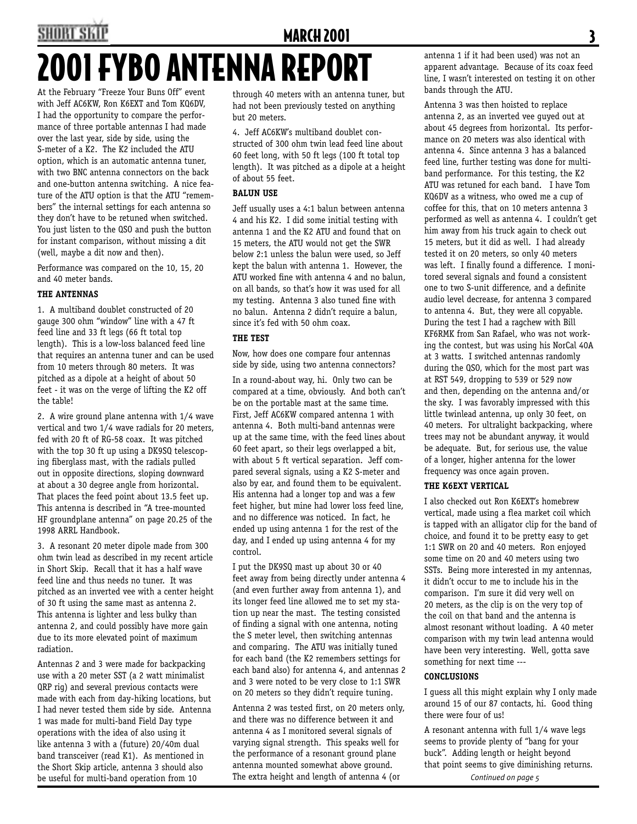## SHORT SKI **MARCH 2001** 2001 FYBO ANTENNA REPORT

At the February "Freeze Your Buns Off" event with Jeff AC6KW, Ron K6EXT and Tom KQ6DV, I had the opportunity to compare the performance of three portable antennas I had made over the last year, side by side, using the S-meter of a K2. The K2 included the ATU option, which is an automatic antenna tuner, with two BNC antenna connectors on the back and one-button antenna switching. A nice feature of the ATU option is that the ATU "remembers" the internal settings for each antenna so they don't have to be retuned when switched. You just listen to the QSO and push the button for instant comparison, without missing a dit (well, maybe a dit now and then).

Performance was compared on the 10, 15, 20 and 40 meter bands.

### **THE ANTENNAS**

1. A multiband doublet constructed of 20 gauge 300 ohm "window" line with a 47 ft feed line and 33 ft legs (66 ft total top length). This is a low-loss balanced feed line that requires an antenna tuner and can be used from 10 meters through 80 meters. It was pitched as a dipole at a height of about 50 feet - it was on the verge of lifting the K2 off the table!

2. A wire ground plane antenna with 1/4 wave vertical and two 1/4 wave radials for 20 meters, fed with 20 ft of RG-58 coax. It was pitched with the top 30 ft up using a DK9SQ telescoping fiberglass mast, with the radials pulled out in opposite directions, sloping downward at about a 30 degree angle from horizontal. That places the feed point about 13.5 feet up. This antenna is described in "A tree-mounted HF groundplane antenna" on page 20.25 of the 1998 ARRL Handbook.

3. A resonant 20 meter dipole made from 300 ohm twin lead as described in my recent article in Short Skip. Recall that it has a half wave feed line and thus needs no tuner. It was pitched as an inverted vee with a center height of 30 ft using the same mast as antenna 2. This antenna is lighter and less bulky than antenna 2, and could possibly have more gain due to its more elevated point of maximum radiation.

Antennas 2 and 3 were made for backpacking use with a 20 meter SST (a 2 watt minimalist QRP rig) and several previous contacts were made with each from day-hiking locations, but I had never tested them side by side. Antenna 1 was made for multi-band Field Day type operations with the idea of also using it like antenna 3 with a (future) 20/40m dual band transceiver (read K1). As mentioned in the Short Skip article, antenna 3 should also be useful for multi-band operation from 10

through 40 meters with an antenna tuner, but had not been previously tested on anything but 20 meters.

4. Jeff AC6KW's multiband doublet constructed of 300 ohm twin lead feed line about 60 feet long, with 50 ft legs (100 ft total top length). It was pitched as a dipole at a height of about 55 feet.

### **BALUN USE**

Jeff usually uses a 4:1 balun between antenna 4 and his K2. I did some initial testing with antenna 1 and the K2 ATU and found that on 15 meters, the ATU would not get the SWR below 2:1 unless the balun were used, so Jeff kept the balun with antenna 1. However, the ATU worked fine with antenna 4 and no balun, on all bands, so that's how it was used for all my testing. Antenna 3 also tuned fine with no balun. Antenna 2 didn't require a balun, since it's fed with 50 ohm coax.

### **THE TEST**

Now, how does one compare four antennas side by side, using two antenna connectors?

In a round-about way, hi. Only two can be compared at a time, obviously. And both can't be on the portable mast at the same time. First, Jeff AC6KW compared antenna 1 with antenna 4. Both multi-band antennas were up at the same time, with the feed lines about 60 feet apart, so their legs overlapped a bit, with about 5 ft vertical separation. Jeff compared several signals, using a K2 S-meter and also by ear, and found them to be equivalent. His antenna had a longer top and was a few feet higher, but mine had lower loss feed line, and no difference was noticed. In fact, he ended up using antenna 1 for the rest of the day, and I ended up using antenna 4 for my control.

I put the DK9SQ mast up about 30 or 40 feet away from being directly under antenna 4 (and even further away from antenna 1), and its longer feed line allowed me to set my station up near the mast. The testing consisted of finding a signal with one antenna, noting the S meter level, then switching antennas and comparing. The ATU was initially tuned for each band (the K2 remembers settings for each band also) for antenna 4, and antennas 2 and 3 were noted to be very close to 1:1 SWR on 20 meters so they didn't require tuning.

Antenna 2 was tested first, on 20 meters only, and there was no difference between it and antenna 4 as I monitored several signals of varying signal strength. This speaks well for the performance of a resonant ground plane antenna mounted somewhat above ground. The extra height and length of antenna 4 (or

antenna 1 if it had been used) was not an apparent advantage. Because of its coax feed line, I wasn't interested on testing it on other bands through the ATU.

Antenna 3 was then hoisted to replace antenna 2, as an inverted vee guyed out at about 45 degrees from horizontal. Its performance on 20 meters was also identical with antenna 4. Since antenna 3 has a balanced feed line, further testing was done for multiband performance. For this testing, the K2 ATU was retuned for each band. I have Tom KQ6DV as a witness, who owed me a cup of coffee for this, that on 10 meters antenna 3 performed as well as antenna 4. I couldn't get him away from his truck again to check out 15 meters, but it did as well. I had already tested it on 20 meters, so only 40 meters was left. I finally found a difference. I monitored several signals and found a consistent one to two S-unit difference, and a definite audio level decrease, for antenna 3 compared to antenna 4. But, they were all copyable. During the test I had a ragchew with Bill KF6RMK from San Rafael, who was not working the contest, but was using his NorCal 40A at 3 watts. I switched antennas randomly during the QSO, which for the most part was at RST 549, dropping to 539 or 529 now and then, depending on the antenna and/or the sky. I was favorably impressed with this little twinlead antenna, up only 30 feet, on 40 meters. For ultralight backpacking, where trees may not be abundant anyway, it would be adequate. But, for serious use, the value of a longer, higher antenna for the lower frequency was once again proven.

### **THE K6EXT VERTICAL**

I also checked out Ron K6EXT's homebrew vertical, made using a flea market coil which is tapped with an alligator clip for the band of choice, and found it to be pretty easy to get 1:1 SWR on 20 and 40 meters. Ron enjoyed some time on 20 and 40 meters using two SSTs. Being more interested in my antennas, it didn't occur to me to include his in the comparison. I'm sure it did very well on 20 meters, as the clip is on the very top of the coil on that band and the antenna is almost resonant without loading. A 40 meter comparison with my twin lead antenna would have been very interesting. Well, gotta save something for next time ---

### **CONCLUSIONS**

I guess all this might explain why I only made around 15 of our 87 contacts, hi. Good thing there were four of us!

A resonant antenna with full 1/4 wave legs seems to provide plenty of "bang for your buck". Adding length or height beyond that point seems to give diminishing returns.

*Continued on page 5*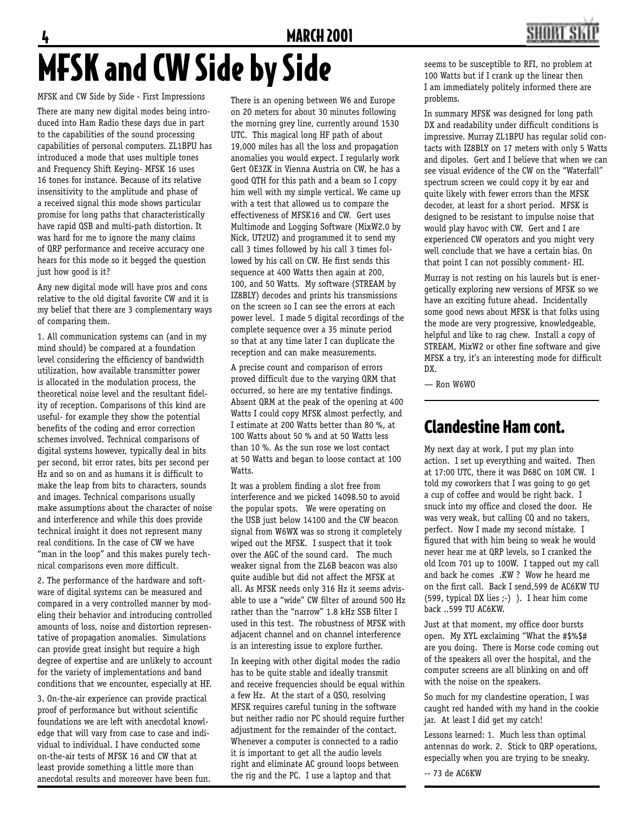### **MARCH 2001**



# MFSK and CW Side by Side

MFSK and CW Side by Side - First Impressions There are many new digital modes being introduced into Ham Radio these days due in part to the capabilities of the sound processing capabilities of personal computers. ZL1BPU has introduced a mode that uses multiple tones and Frequency Shift Keying- MFSK 16 uses 16 tones for instance. Because of its relative insensitivity to the amplitude and phase of a received signal this mode shows particular promise for long paths that characteristically have rapid QSB and multi-path distortion. It was hard for me to ignore the many claims of QRP performance and receive accuracy one hears for this mode so it begged the question just how good is it?

Any new digital mode will have pros and cons relative to the old digital favorite CW and it is my belief that there are 3 complementary ways of comparing them.

1. All communication systems can (and in my mind should) be compared at a foundation level considering the efficiency of bandwidth utilization, how available transmitter power is allocated in the modulation process, the theoretical noise level and the resultant fidelity of reception. Comparisons of this kind are useful- for example they show the potential benefits of the coding and error correction schemes involved. Technical comparisons of digital systems however, typically deal in bits per second, bit error rates, bits per second per Hz and so on and as humans it is difficult to make the leap from bits to characters, sounds and images. Technical comparisons usually make assumptions about the character of noise and interference and while this does provide technical insight it does not represent many real conditions. In the case of CW we have "man in the loop" and this makes purely technical comparisons even more difficult.

2. The performance of the hardware and software of digital systems can be measured and compared in a very controlled manner by modeling their behavior and introducing controlled amounts of loss, noise and distortion representative of propagation anomalies. Simulations can provide great insight but require a high degree of expertise and are unlikely to account for the variety of implementations and band conditions that we encounter, especially at HF.

3. On-the-air experience can provide practical proof of performance but without scientific foundations we are left with anecdotal knowledge that will vary from case to case and individual to individual. I have conducted some on-the-air tests of MFSK 16 and CW that at least provide something a little more than anecdotal results and moreover have been fun.

There is an opening between W6 and Europe on 20 meters for about 30 minutes following the morning grey line, currently around 1530 UTC. This magical long HF path of about 19,000 miles has all the loss and propagation anomalies you would expect. I regularly work Gert OE3ZK in Vienna Austria on CW, he has a good QTH for this path and a beam so I copy him well with my simple vertical. We came up with a test that allowed us to compare the effectiveness of MFSK16 and CW. Gert uses Multimode and Logging Software (MixW2.0 by Nick, UT2UZ) and programmed it to send my call 3 times followed by his call 3 times followed by his call on CW. He first sends this sequence at 400 Watts then again at 200, 100, and 50 Watts. My software (STREAM by IZ8BLY) decodes and prints his transmissions on the screen so I can see the errors at each power level. I made 5 digital recordings of the complete sequence over a 35 minute period so that at any time later I can duplicate the reception and can make measurements.

A precise count and comparison of errors proved difficult due to the varying QRM that occurred, so here are my tentative findings. Absent QRM at the peak of the opening at 400 Watts I could copy MFSK almost perfectly, and I estimate at 200 Watts better than 80 %, at 100 Watts about 50 % and at 50 Watts less than 10 %. As the sun rose we lost contact at 50 Watts and began to loose contact at 100 Watts.

It was a problem finding a slot free from interference and we picked 14098.50 to avoid the popular spots. We were operating on the USB just below 14100 and the CW beacon signal from W6WX was so strong it completely wiped out the MFSK. I suspect that it took over the AGC of the sound card. The much weaker signal from the ZL6B beacon was also quite audible but did not affect the MFSK at all. As MFSK needs only 316 Hz it seems advisable to use a "wide" CW filter of around 500 Hz rather than the "narrow" 1.8 kHz SSB filter I used in this test. The robustness of MFSK with adjacent channel and on channel interference is an interesting issue to explore further.

In keeping with other digital modes the radio has to be quite stable and ideally transmit and receive frequencies should be equal within a few Hz. At the start of a QSO, resolving MFSK requires careful tuning in the software but neither radio nor PC should require further adjustment for the remainder of the contact. Whenever a computer is connected to a radio it is important to get all the audio levels right and eliminate AC ground loops between the rig and the PC. I use a laptop and that

seems to be susceptible to RFI, no problem at 100 Watts but if I crank up the linear then I am immediately politely informed there are problems.

In summary MFSK was designed for long path DX and readability under difficult conditions is impressive. Murray ZL1BPU has regular solid contacts with IZ8BLY on 17 meters with only 5 Watts and dipoles. Gert and I believe that when we can see visual evidence of the CW on the "Waterfall" spectrum screen we could copy it by ear and quite likely with fewer errors than the MFSK decoder, at least for a short period. MFSK is designed to be resistant to impulse noise that would play havoc with CW. Gert and I are experienced CW operators and you might very well conclude that we have a certain bias. On that point I can not possibly comment- HI.

Murray is not resting on his laurels but is energetically exploring new versions of MFSK so we have an exciting future ahead. Incidentally some good news about MFSK is that folks using the mode are very progressive, knowledgeable, helpful and like to rag chew. Install a copy of STREAM, MixW2 or other fine software and give MFSK a try, it's an interesting mode for difficult DX.

— Ron W6WO

## Clandestine Ham cont.

My next day at work, I put my plan into action. I set up everything and waited. Then at 17:00 UTC, there it was D68C on 10M CW. I told my coworkers that I was going to go get a cup of coffee and would be right back. I snuck into my office and closed the door. He was very weak, but calling CQ and no takers, perfect. Now I made my second mistake. I fiqured that with him being so weak he would never hear me at QRP levels, so I cranked the old Icom 701 up to 100W. I tapped out my call and back he comes .KW ? Wow he heard me on the first call. Back I send,599 de AC6KW TU (599, typical DX lies ;-) ). I hear him come back ..599 TU AC6KW.

Just at that moment, my office door bursts open. My XYL exclaiming "What the #\$%\$# are you doing. There is Morse code coming out of the speakers all over the hospital, and the computer screens are all blinking on and off with the noise on the speakers.

So much for my clandestine operation, I was caught red handed with my hand in the cookie jar. At least I did get my catch!

Lessons learned: 1. Much less than optimal antennas do work. 2. Stick to QRP operations, especially when you are trying to be sneaky.

-- 73 de AC6KW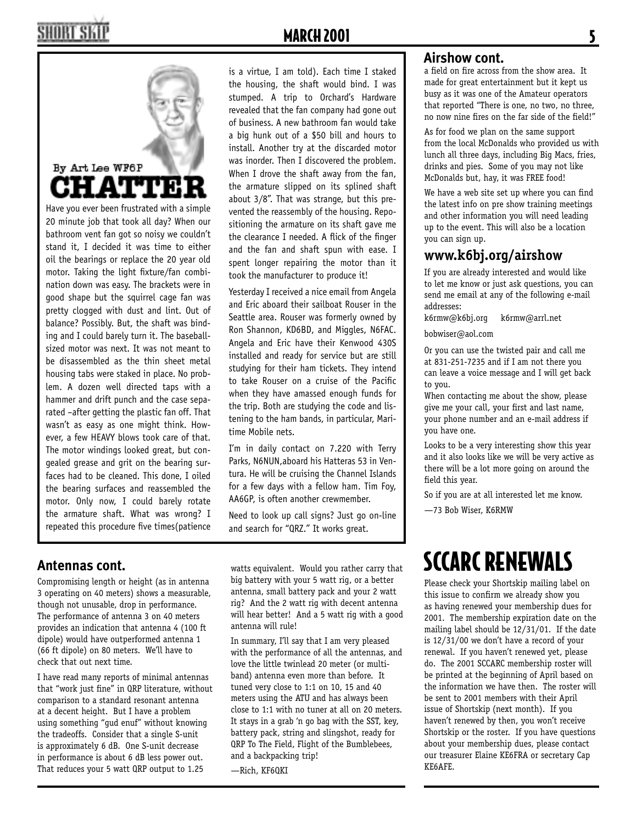# By Art Lee WF6P ATTIE

Have you ever been frustrated with a simple 20 minute job that took all day? When our bathroom vent fan got so noisy we couldn't stand it, I decided it was time to either oil the bearings or replace the 20 year old motor. Taking the light fixture/fan combination down was easy. The brackets were in good shape but the squirrel cage fan was pretty clogged with dust and lint. Out of balance? Possibly. But, the shaft was binding and I could barely turn it. The baseballsized motor was next. It was not meant to be disassembled as the thin sheet metal housing tabs were staked in place. No problem. A dozen well directed taps with a hammer and drift punch and the case separated –after getting the plastic fan off. That wasn't as easy as one might think. However, a few HEAVY blows took care of that. The motor windings looked great, but congealed grease and grit on the bearing surfaces had to be cleaned. This done, I oiled the bearing surfaces and reassembled the motor. Only now, I could barely rotate the armature shaft. What was wrong? I repeated this procedure five times(patience

is a virtue, I am told). Each time I staked the housing, the shaft would bind. I was stumped. A trip to Orchard's Hardware revealed that the fan company had gone out of business. A new bathroom fan would take a big hunk out of a \$50 bill and hours to install. Another try at the discarded motor was inorder. Then I discovered the problem. When I drove the shaft away from the fan, the armature slipped on its splined shaft about 3/8". That was strange, but this prevented the reassembly of the housing. Repositioning the armature on its shaft gave me the clearance I needed. A flick of the finger and the fan and shaft spun with ease. I spent longer repairing the motor than it took the manufacturer to produce it!

Yesterday I received a nice email from Angela and Eric aboard their sailboat Rouser in the Seattle area. Rouser was formerly owned by Ron Shannon, KD6BD, and Miggles, N6FAC. Angela and Eric have their Kenwood 430S installed and ready for service but are still studying for their ham tickets. They intend to take Rouser on a cruise of the Pacific when they have amassed enough funds for the trip. Both are studying the code and listening to the ham bands, in particular, Maritime Mobile nets.

I'm in daily contact on 7.220 with Terry Parks, N6NUN,aboard his Hatteras 53 in Ventura. He will be cruising the Channel Islands for a few days with a fellow ham. Tim Foy, AA6GP, is often another crewmember.

Need to look up call signs? Just go on-line and search for "QRZ." It works great.

### Antennas cont.

Compromising length or height (as in antenna **Antennas cont.** 3 operating on 40 meters) shows a measurable, though not unusable, drop in performance. The performance of antenna 3 on 40 meters provides an indication that antenna 4 (100 ft dipole) would have outperformed antenna 1 (66 ft dipole) on 80 meters. We'll have to check that out next time.

I have read many reports of minimal antennas that "work just fine" in QRP literature, without comparison to a standard resonant antenna at a decent height. But I have a problem using something "gud enuf" without knowing the tradeoffs. Consider that a single S-unit is approximately 6 dB. One S-unit decrease in performance is about 6 dB less power out. That reduces your 5 watt QRP output to 1.25

watts equivalent. Would you rather carry that big battery with your 5 watt rig, or a better antenna, small battery pack and your 2 watt rig? And the 2 watt rig with decent antenna will hear better! And a 5 watt rig with a good antenna will rule!

In summary, I'll say that I am very pleased with the performance of all the antennas, and love the little twinlead 20 meter (or multiband) antenna even more than before. It tuned very close to 1:1 on 10, 15 and 40 meters using the ATU and has always been close to 1:1 with no tuner at all on 20 meters. It stays in a grab 'n go bag with the SST, key, battery pack, string and slingshot, ready for QRP To The Field, Flight of the Bumblebees, and a backpacking trip!

—Rich, KF6QKI

### Airshow cont.

a field on fire across from the show area. It made for great entertainment but it kept us busy as it was one of the Amateur operators that reported "There is one, no two, no three, no now nine fires on the far side of the field!"

As for food we plan on the same support from the local McDonalds who provided us with lunch all three days, including Big Macs, fries, drinks and pies. Some of you may not like McDonalds but, hay, it was FREE food!

We have a web site set up where you can find the latest info on pre show training meetings and other information you will need leading up to the event. This will also be a location you can sign up.

### **www.k6bj.org/airshow**

If you are already interested and would like to let me know or just ask questions, you can send me email at any of the following e-mail addresses:

k6rmw@k6bj.org k6rmw@arrl.net

bobwiser@aol.com

Or you can use the twisted pair and call me at 831-251-7235 and if I am not there you can leave a voice message and I will get back to you.

When contacting me about the show, please give me your call, your first and last name, your phone number and an e-mail address if you have one.

Looks to be a very interesting show this year and it also looks like we will be very active as there will be a lot more going on around the field this year.

So if you are at all interested let me know.

—73 Bob Wiser, K6RMW

# SCCARC RENEWALS

Please check your Shortskip mailing label on this issue to confirm we already show you as having renewed your membership dues for 2001. The membership expiration date on the mailing label should be 12/31/01. If the date is 12/31/00 we don't have a record of your renewal. If you haven't renewed yet, please do. The 2001 SCCARC membership roster will be printed at the beginning of April based on the information we have then. The roster will be sent to 2001 members with their April issue of Shortskip (next month). If you haven't renewed by then, you won't receive Shortskip or the roster. If you have questions about your membership dues, please contact our treasurer Elaine KE6FRA or secretary Cap KE6AFE.